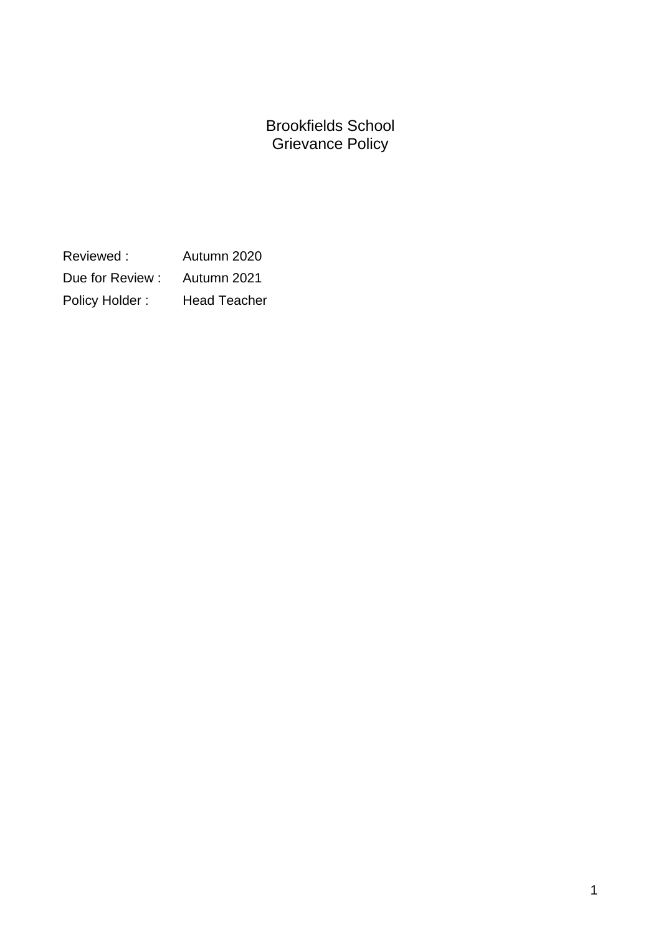Brookfields School Grievance Policy

Reviewed : Autumn 2020 Due for Review : Autumn 2021 Policy Holder : Head Teacher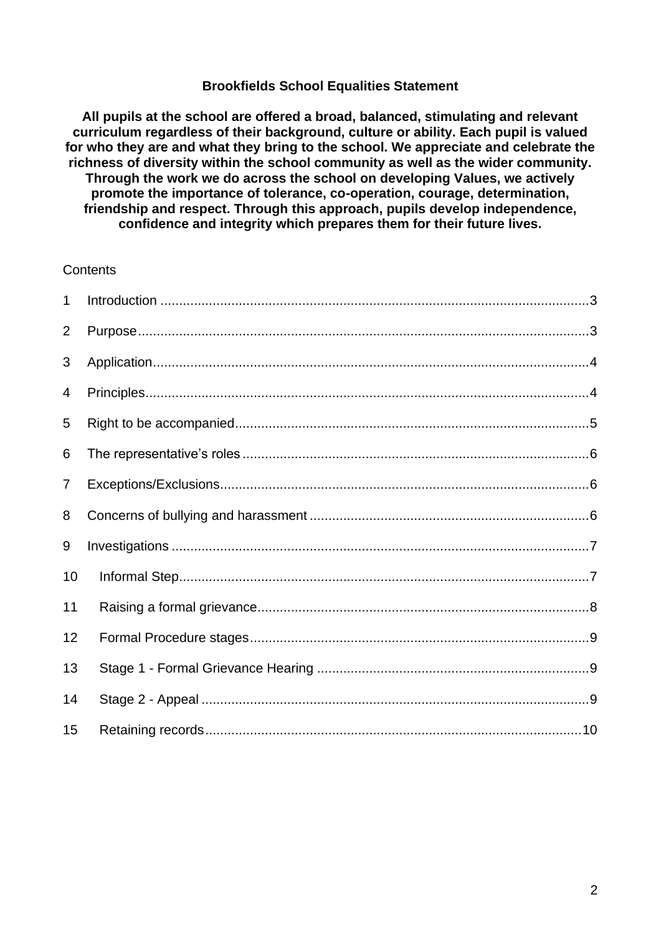#### **Brookfields School Equalities Statement**

**All pupils at the school are offered a broad, balanced, stimulating and relevant curriculum regardless of their background, culture or ability. Each pupil is valued for who they are and what they bring to the school. We appreciate and celebrate the richness of diversity within the school community as well as the wider community. Through the work we do across the school on developing Values, we actively promote the importance of tolerance, co-operation, courage, determination, friendship and respect. Through this approach, pupils develop independence, confidence and integrity which prepares them for their future lives.**

#### **Contents**

| $\mathbf{1}$   |  |
|----------------|--|
| 2              |  |
| 3              |  |
| 4              |  |
| 5              |  |
| 6              |  |
| $\overline{7}$ |  |
| 8              |  |
| 9              |  |
| 10             |  |
| 11             |  |
| 12             |  |
| 13             |  |
| 14             |  |
| 15             |  |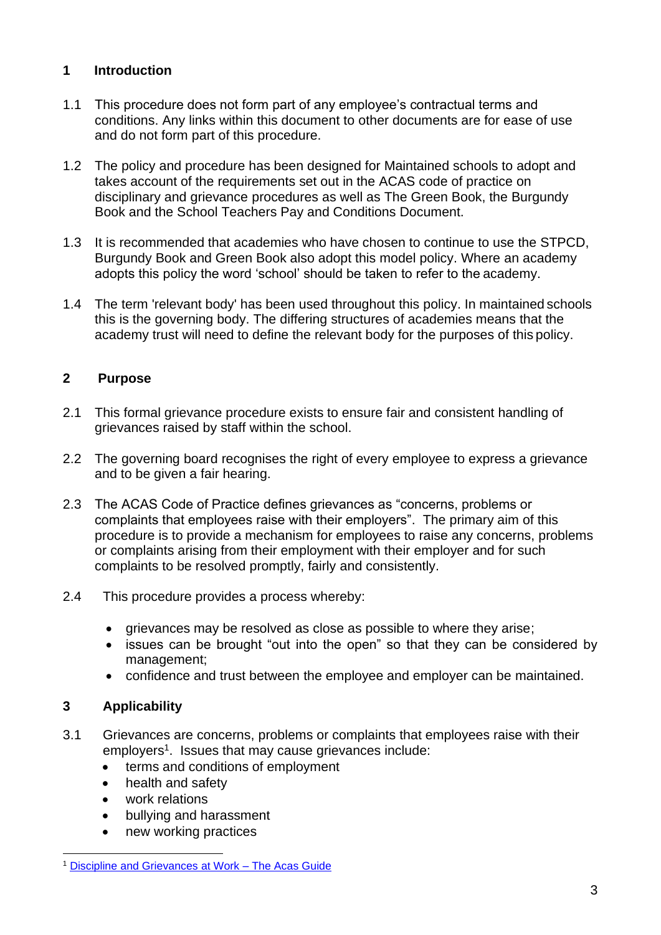# <span id="page-2-0"></span>**1 Introduction**

- 1.1 This procedure does not form part of any employee's contractual terms and conditions. Any links within this document to other documents are for ease of use and do not form part of this procedure.
- 1.2 The policy and procedure has been designed for Maintained schools to adopt and takes account of the requirements set out in the ACAS code of practice on disciplinary and grievance procedures as well as The Green Book, the Burgundy Book and the School Teachers Pay and Conditions Document.
- 1.3 It is recommended that academies who have chosen to continue to use the STPCD, Burgundy Book and Green Book also adopt this model policy. Where an academy adopts this policy the word 'school' should be taken to refer to the academy.
- 1.4 The term 'relevant body' has been used throughout this policy. In maintained schools this is the governing body. The differing structures of academies means that the academy trust will need to define the relevant body for the purposes of this policy.

# <span id="page-2-1"></span>**2 Purpose**

- 2.1 This formal grievance procedure exists to ensure fair and consistent handling of grievances raised by staff within the school.
- 2.2 The governing board recognises the right of every employee to express a grievance and to be given a fair hearing.
- 2.3 The ACAS Code of Practice defines grievances as "concerns, problems or complaints that employees raise with their employers". The primary aim of this procedure is to provide a mechanism for employees to raise any concerns, problems or complaints arising from their employment with their employer and for such complaints to be resolved promptly, fairly and consistently.
- 2.4 This procedure provides a process whereby:
	- grievances may be resolved as close as possible to where they arise;
	- issues can be brought "out into the open" so that they can be considered by management;
	- confidence and trust between the employee and employer can be maintained.

### **3 Applicability**

- 3.1 Grievances are concerns, problems or complaints that employees raise with their employers<sup>1</sup>. Issues that may cause grievances include:
	- terms and conditions of employment
	- health and safety
	- work relations
	- bullying and harassment
	- new working practices

<sup>1</sup> [Discipline and Grievances at Work –](http://www.acas.org.uk/media/pdf/s/o/Acas-Guide-on-discipline-and-grievances_at_work_(April_11)-accessible-version-may-2012.pdf) The Acas Guide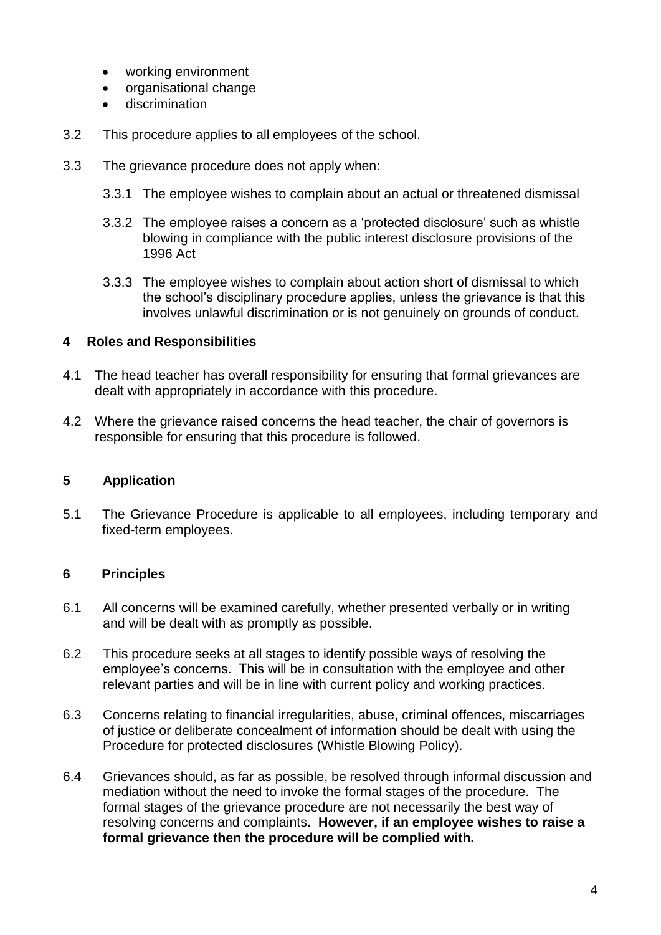- working environment
- organisational change
- discrimination
- 3.2 This procedure applies to all employees of the school.
- 3.3 The grievance procedure does not apply when:
	- 3.3.1 The employee wishes to complain about an actual or threatened dismissal
	- 3.3.2 The employee raises a concern as a 'protected disclosure' such as whistle blowing in compliance with the public interest disclosure provisions of the 1996 Act
	- 3.3.3 The employee wishes to complain about action short of dismissal to which the school's disciplinary procedure applies, unless the grievance is that this involves unlawful discrimination or is not genuinely on grounds of conduct.

### **4 Roles and Responsibilities**

- 4.1 The head teacher has overall responsibility for ensuring that formal grievances are dealt with appropriately in accordance with this procedure.
- 4.2 Where the grievance raised concerns the head teacher, the chair of governors is responsible for ensuring that this procedure is followed.

#### <span id="page-3-0"></span>**5 Application**

5.1 The Grievance Procedure is applicable to all employees, including temporary and fixed-term employees.

#### <span id="page-3-1"></span>**6 Principles**

- 6.1 All concerns will be examined carefully, whether presented verbally or in writing and will be dealt with as promptly as possible.
- 6.2 This procedure seeks at all stages to identify possible ways of resolving the employee's concerns. This will be in consultation with the employee and other relevant parties and will be in line with current policy and working practices.
- 6.3 Concerns relating to financial irregularities, abuse, criminal offences, miscarriages of justice or deliberate concealment of information should be dealt with using the Procedure for protected disclosures (Whistle Blowing Policy).
- 6.4 Grievances should, as far as possible, be resolved through informal discussion and mediation without the need to invoke the formal stages of the procedure. The formal stages of the grievance procedure are not necessarily the best way of resolving concerns and complaints**. However, if an employee wishes to raise a formal grievance then the procedure will be complied with.**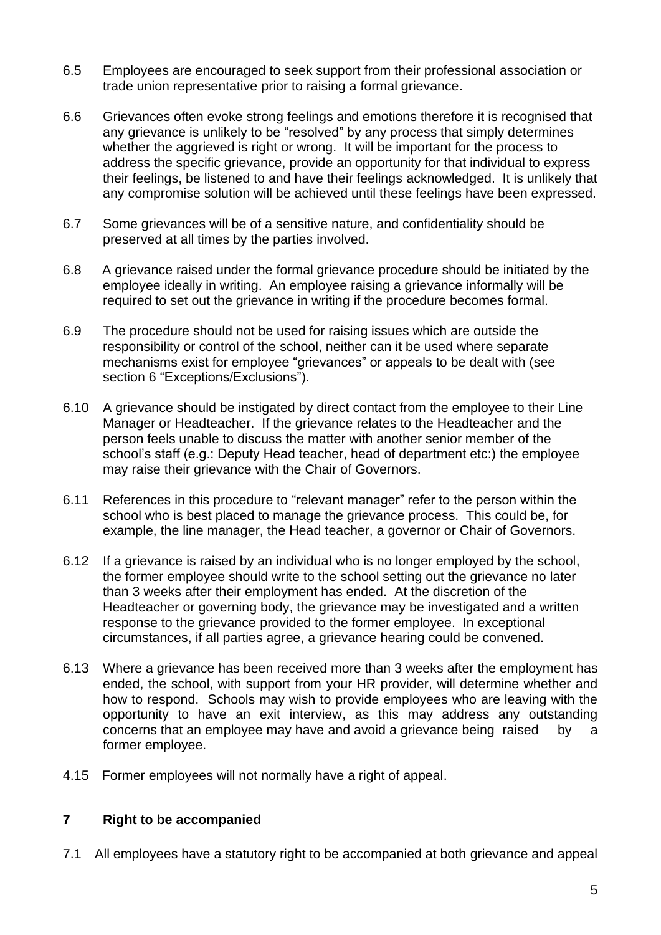- 6.5 Employees are encouraged to seek support from their professional association or trade union representative prior to raising a formal grievance.
- 6.6 Grievances often evoke strong feelings and emotions therefore it is recognised that any grievance is unlikely to be "resolved" by any process that simply determines whether the aggrieved is right or wrong. It will be important for the process to address the specific grievance, provide an opportunity for that individual to express their feelings, be listened to and have their feelings acknowledged. It is unlikely that any compromise solution will be achieved until these feelings have been expressed.
- 6.7 Some grievances will be of a sensitive nature, and confidentiality should be preserved at all times by the parties involved.
- 6.8 A grievance raised under the formal grievance procedure should be initiated by the employee ideally in writing. An employee raising a grievance informally will be required to set out the grievance in writing if the procedure becomes formal.
- 6.9 The procedure should not be used for raising issues which are outside the responsibility or control of the school, neither can it be used where separate mechanisms exist for employee "grievances" or appeals to be dealt with (see section 6 "Exceptions/Exclusions").
- 6.10 A grievance should be instigated by direct contact from the employee to their Line Manager or Headteacher. If the grievance relates to the Headteacher and the person feels unable to discuss the matter with another senior member of the school's staff (e.g.: Deputy Head teacher, head of department etc:) the employee may raise their grievance with the Chair of Governors.
- 6.11 References in this procedure to "relevant manager" refer to the person within the school who is best placed to manage the grievance process. This could be, for example, the line manager, the Head teacher, a governor or Chair of Governors.
- 6.12 If a grievance is raised by an individual who is no longer employed by the school, the former employee should write to the school setting out the grievance no later than 3 weeks after their employment has ended. At the discretion of the Headteacher or governing body, the grievance may be investigated and a written response to the grievance provided to the former employee. In exceptional circumstances, if all parties agree, a grievance hearing could be convened.
- 6.13 Where a grievance has been received more than 3 weeks after the employment has ended, the school, with support from your HR provider, will determine whether and how to respond. Schools may wish to provide employees who are leaving with the opportunity to have an exit interview, as this may address any outstanding concerns that an employee may have and avoid a grievance being raised by a former employee.
- 4.15 Former employees will not normally have a right of appeal.

#### <span id="page-4-0"></span>**7 Right to be accompanied**

7.1 All employees have a statutory right to be accompanied at both grievance and appeal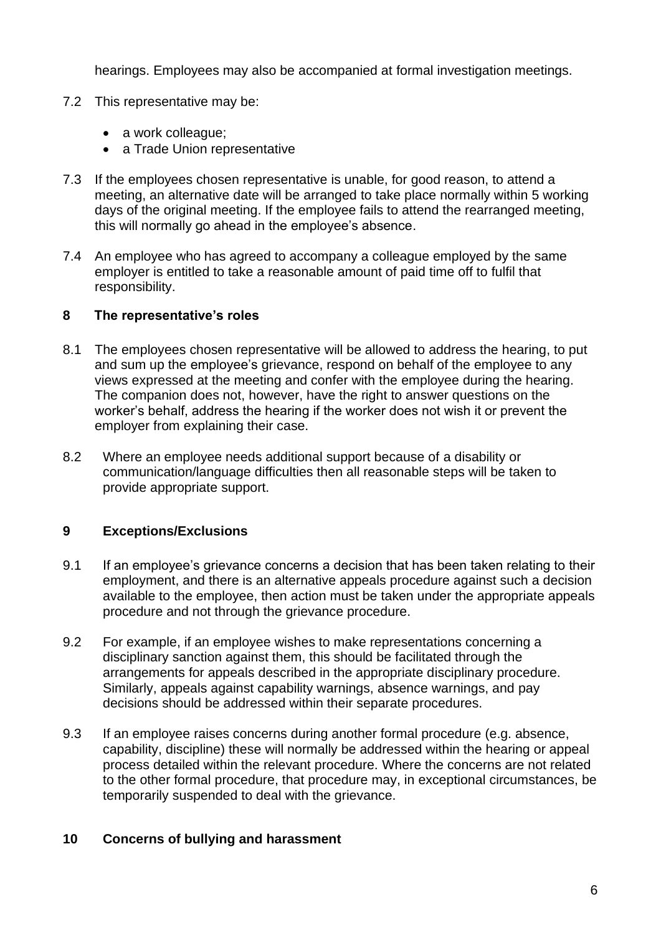hearings. Employees may also be accompanied at formal investigation meetings.

- 7.2 This representative may be:
	- a work colleague;
	- a Trade Union representative
- 7.3 If the employees chosen representative is unable, for good reason, to attend a meeting, an alternative date will be arranged to take place normally within 5 working days of the original meeting. If the employee fails to attend the rearranged meeting, this will normally go ahead in the employee's absence.
- 7.4 An employee who has agreed to accompany a colleague employed by the same employer is entitled to take a reasonable amount of paid time off to fulfil that responsibility.

### <span id="page-5-0"></span>**8 The representative's roles**

- 8.1 The employees chosen representative will be allowed to address the hearing, to put and sum up the employee's grievance, respond on behalf of the employee to any views expressed at the meeting and confer with the employee during the hearing. The companion does not, however, have the right to answer questions on the worker's behalf, address the hearing if the worker does not wish it or prevent the employer from explaining their case.
- 8.2 Where an employee needs additional support because of a disability or communication/language difficulties then all reasonable steps will be taken to provide appropriate support.

# <span id="page-5-1"></span>**9 Exceptions/Exclusions**

- 9.1 If an employee's grievance concerns a decision that has been taken relating to their employment, and there is an alternative appeals procedure against such a decision available to the employee, then action must be taken under the appropriate appeals procedure and not through the grievance procedure.
- 9.2 For example, if an employee wishes to make representations concerning a disciplinary sanction against them, this should be facilitated through the arrangements for appeals described in the appropriate disciplinary procedure. Similarly, appeals against capability warnings, absence warnings, and pay decisions should be addressed within their separate procedures.
- 9.3 If an employee raises concerns during another formal procedure (e.g. absence, capability, discipline) these will normally be addressed within the hearing or appeal process detailed within the relevant procedure. Where the concerns are not related to the other formal procedure, that procedure may, in exceptional circumstances, be temporarily suspended to deal with the grievance.

### <span id="page-5-2"></span>**10 Concerns of bullying and harassment**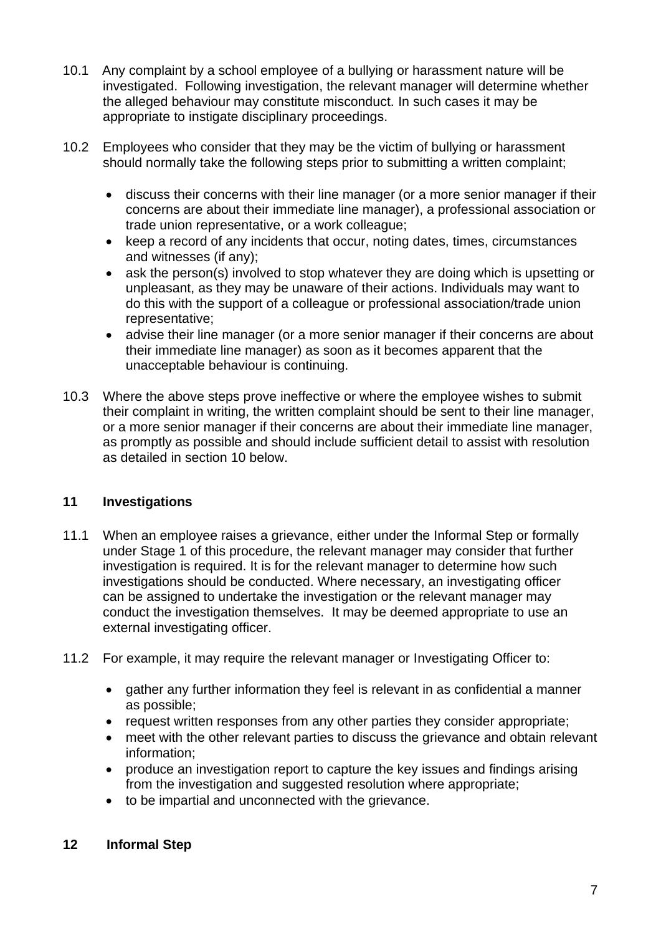- 10.1 Any complaint by a school employee of a bullying or harassment nature will be investigated. Following investigation, the relevant manager will determine whether the alleged behaviour may constitute misconduct. In such cases it may be appropriate to instigate disciplinary proceedings.
- 10.2 Employees who consider that they may be the victim of bullying or harassment should normally take the following steps prior to submitting a written complaint;
	- discuss their concerns with their line manager (or a more senior manager if their concerns are about their immediate line manager), a professional association or trade union representative, or a work colleague;
	- keep a record of any incidents that occur, noting dates, times, circumstances and witnesses (if any);
	- ask the person(s) involved to stop whatever they are doing which is upsetting or unpleasant, as they may be unaware of their actions. Individuals may want to do this with the support of a colleague or professional association/trade union representative;
	- advise their line manager (or a more senior manager if their concerns are about their immediate line manager) as soon as it becomes apparent that the unacceptable behaviour is continuing.
- 10.3 Where the above steps prove ineffective or where the employee wishes to submit their complaint in writing, the written complaint should be sent to their line manager, or a more senior manager if their concerns are about their immediate line manager, as promptly as possible and should include sufficient detail to assist with resolution as detailed in section 10 below.

### <span id="page-6-0"></span>**11 Investigations**

- 11.1 When an employee raises a grievance, either under the Informal Step or formally under Stage 1 of this procedure, the relevant manager may consider that further investigation is required. It is for the relevant manager to determine how such investigations should be conducted. Where necessary, an investigating officer can be assigned to undertake the investigation or the relevant manager may conduct the investigation themselves. It may be deemed appropriate to use an external investigating officer.
- 11.2 For example, it may require the relevant manager or Investigating Officer to:
	- gather any further information they feel is relevant in as confidential a manner as possible;
	- request written responses from any other parties they consider appropriate;
	- meet with the other relevant parties to discuss the grievance and obtain relevant information;
	- produce an investigation report to capture the key issues and findings arising from the investigation and suggested resolution where appropriate;
	- to be impartial and unconnected with the grievance.

### <span id="page-6-1"></span>**12 Informal Step**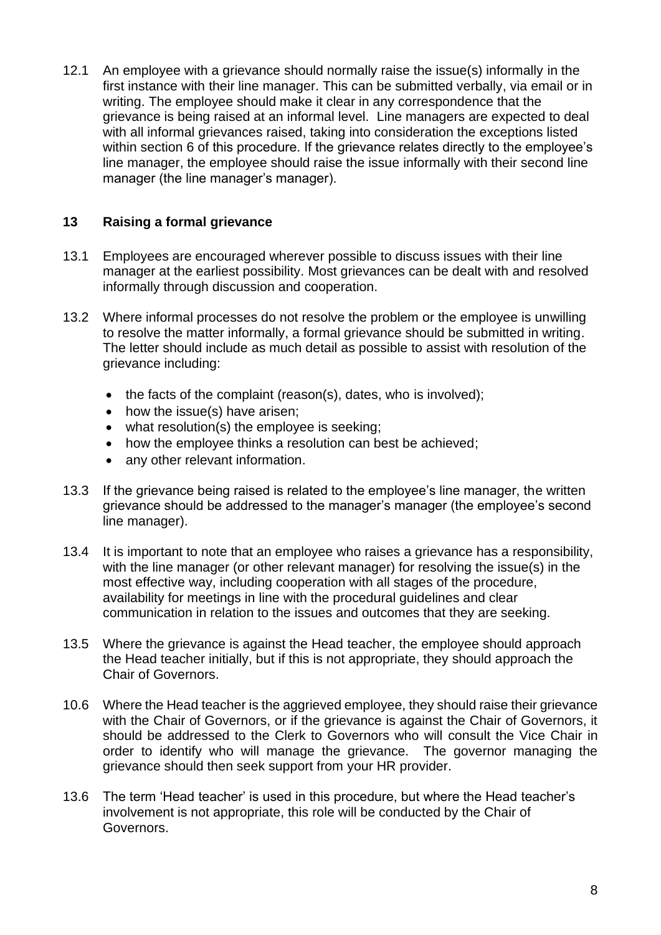12.1 An employee with a grievance should normally raise the issue(s) informally in the first instance with their line manager. This can be submitted verbally, via email or in writing. The employee should make it clear in any correspondence that the grievance is being raised at an informal level. Line managers are expected to deal with all informal grievances raised, taking into consideration the exceptions listed within section 6 of this procedure. If the grievance relates directly to the employee's line manager, the employee should raise the issue informally with their second line manager (the line manager's manager).

# <span id="page-7-0"></span>**13 Raising a formal grievance**

- 13.1 Employees are encouraged wherever possible to discuss issues with their line manager at the earliest possibility. Most grievances can be dealt with and resolved informally through discussion and cooperation.
- 13.2 Where informal processes do not resolve the problem or the employee is unwilling to resolve the matter informally, a formal grievance should be submitted in writing. The letter should include as much detail as possible to assist with resolution of the grievance including:
	- the facts of the complaint (reason(s), dates, who is involved);
	- how the issue(s) have arisen;
	- what resolution(s) the employee is seeking;
	- how the employee thinks a resolution can best be achieved;
	- any other relevant information.
- 13.3 If the grievance being raised is related to the employee's line manager, the written grievance should be addressed to the manager's manager (the employee's second line manager).
- 13.4 It is important to note that an employee who raises a grievance has a responsibility, with the line manager (or other relevant manager) for resolving the issue(s) in the most effective way, including cooperation with all stages of the procedure, availability for meetings in line with the procedural guidelines and clear communication in relation to the issues and outcomes that they are seeking.
- 13.5 Where the grievance is against the Head teacher, the employee should approach the Head teacher initially, but if this is not appropriate, they should approach the Chair of Governors.
- 10.6 Where the Head teacher is the aggrieved employee, they should raise their grievance with the Chair of Governors, or if the grievance is against the Chair of Governors, it should be addressed to the Clerk to Governors who will consult the Vice Chair in order to identify who will manage the grievance. The governor managing the grievance should then seek support from your HR provider.
- 13.6 The term 'Head teacher' is used in this procedure, but where the Head teacher's involvement is not appropriate, this role will be conducted by the Chair of Governors.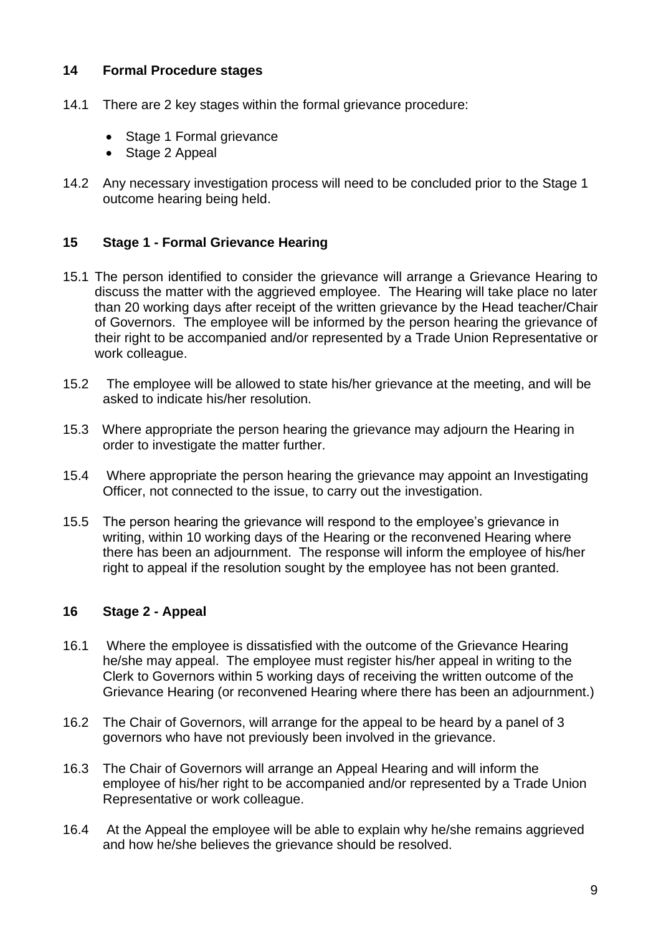### <span id="page-8-0"></span>**14 Formal Procedure stages**

- 14.1 There are 2 key stages within the formal grievance procedure:
	- Stage 1 Formal grievance
	- Stage 2 Appeal
- 14.2 Any necessary investigation process will need to be concluded prior to the Stage 1 outcome hearing being held.

#### <span id="page-8-1"></span>**15 Stage 1 - Formal Grievance Hearing**

- 15.1 The person identified to consider the grievance will arrange a Grievance Hearing to discuss the matter with the aggrieved employee. The Hearing will take place no later than 20 working days after receipt of the written grievance by the Head teacher/Chair of Governors. The employee will be informed by the person hearing the grievance of their right to be accompanied and/or represented by a Trade Union Representative or work colleague.
- 15.2 The employee will be allowed to state his/her grievance at the meeting, and will be asked to indicate his/her resolution.
- 15.3 Where appropriate the person hearing the grievance may adjourn the Hearing in order to investigate the matter further.
- 15.4 Where appropriate the person hearing the grievance may appoint an Investigating Officer, not connected to the issue, to carry out the investigation.
- 15.5 The person hearing the grievance will respond to the employee's grievance in writing, within 10 working days of the Hearing or the reconvened Hearing where there has been an adjournment. The response will inform the employee of his/her right to appeal if the resolution sought by the employee has not been granted.

#### <span id="page-8-2"></span>**16 Stage 2 - Appeal**

- 16.1 Where the employee is dissatisfied with the outcome of the Grievance Hearing he/she may appeal. The employee must register his/her appeal in writing to the Clerk to Governors within 5 working days of receiving the written outcome of the Grievance Hearing (or reconvened Hearing where there has been an adjournment.)
- 16.2 The Chair of Governors, will arrange for the appeal to be heard by a panel of 3 governors who have not previously been involved in the grievance.
- 16.3 The Chair of Governors will arrange an Appeal Hearing and will inform the employee of his/her right to be accompanied and/or represented by a Trade Union Representative or work colleague.
- 16.4 At the Appeal the employee will be able to explain why he/she remains aggrieved and how he/she believes the grievance should be resolved.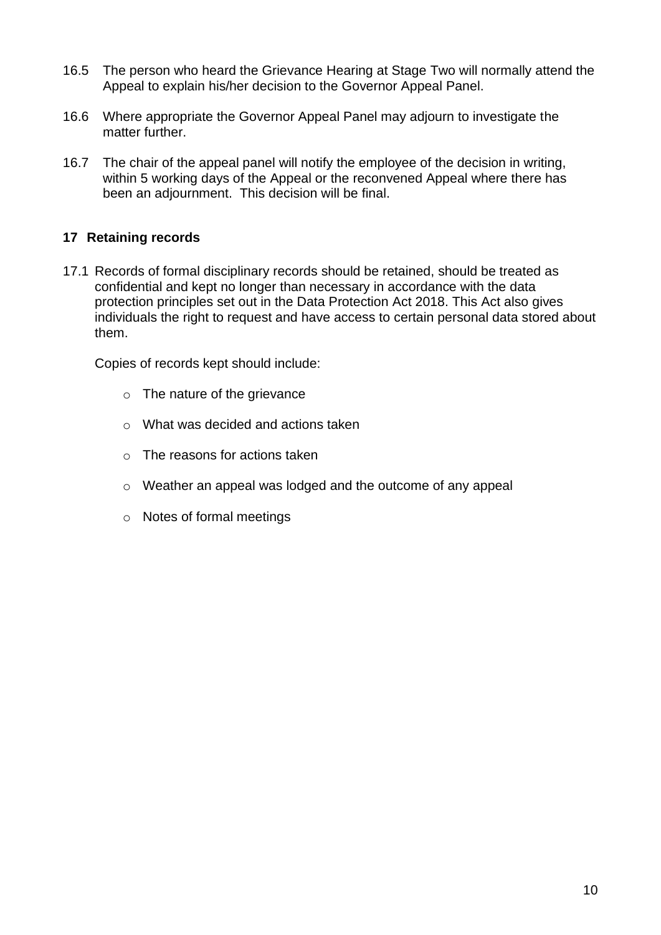- 16.5 The person who heard the Grievance Hearing at Stage Two will normally attend the Appeal to explain his/her decision to the Governor Appeal Panel.
- 16.6 Where appropriate the Governor Appeal Panel may adjourn to investigate the matter further.
- 16.7 The chair of the appeal panel will notify the employee of the decision in writing, within 5 working days of the Appeal or the reconvened Appeal where there has been an adjournment. This decision will be final.

### <span id="page-9-0"></span>**17 Retaining records**

17.1 Records of formal disciplinary records should be retained, should be treated as confidential and kept no longer than necessary in accordance with the data protection principles set out in the Data Protection Act 2018. This Act also gives individuals the right to request and have access to certain personal data stored about them.

Copies of records kept should include:

- o The nature of the grievance
- o What was decided and actions taken
- o The reasons for actions taken
- o Weather an appeal was lodged and the outcome of any appeal
- o Notes of formal meetings